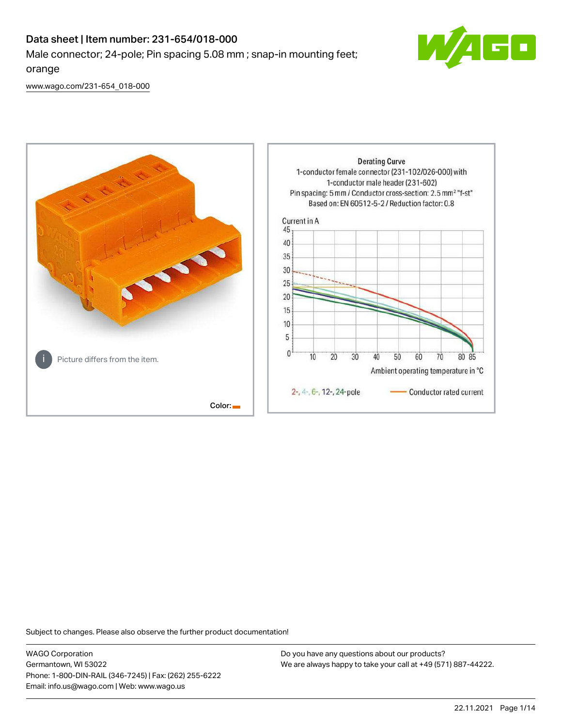# Data sheet | Item number: 231-654/018-000 Male connector; 24-pole; Pin spacing 5.08 mm ; snap-in mounting feet; orange



[www.wago.com/231-654\\_018-000](http://www.wago.com/231-654_018-000)



Subject to changes. Please also observe the further product documentation!

WAGO Corporation Germantown, WI 53022 Phone: 1-800-DIN-RAIL (346-7245) | Fax: (262) 255-6222 Email: info.us@wago.com | Web: www.wago.us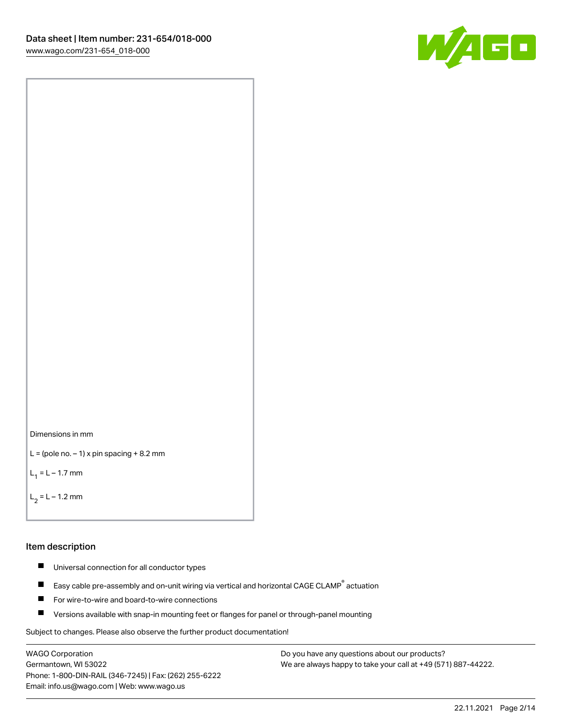



```
L = (pole no. -1) x pin spacing +8.2 mm
```
 $L_1 = L - 1.7$  mm

 $L_2 = L - 1.2$  mm

#### Item description

- $\blacksquare$ Universal connection for all conductor types
- Easy cable pre-assembly and on-unit wiring via vertical and horizontal CAGE CLAMP<sup>®</sup> actuation  $\blacksquare$
- $\blacksquare$ For wire-to-wire and board-to-wire connections
- $\blacksquare$ Versions available with snap-in mounting feet or flanges for panel or through-panel mounting

Subject to changes. Please also observe the further product documentation!

WAGO Corporation Germantown, WI 53022 Phone: 1-800-DIN-RAIL (346-7245) | Fax: (262) 255-6222 Email: info.us@wago.com | Web: www.wago.us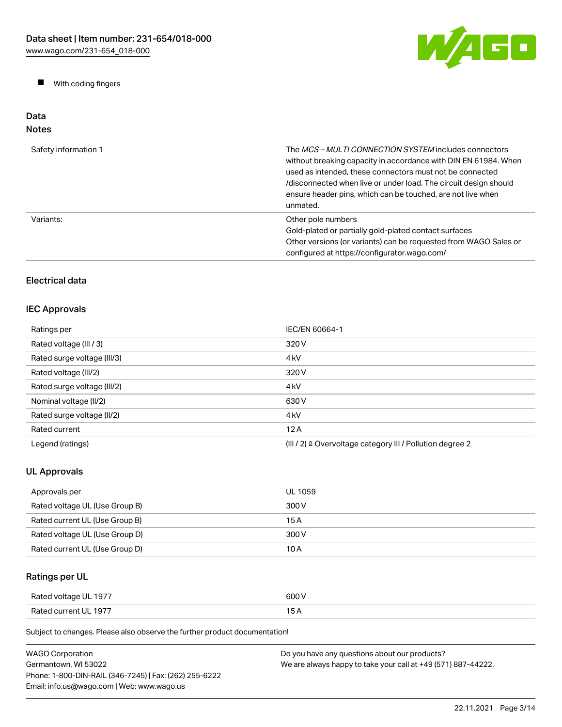

 $\blacksquare$ With coding fingers

#### Data Notes

| Safety information 1 | The <i>MCS – MULTI CONNECTION SYSTEM</i> includes connectors<br>without breaking capacity in accordance with DIN EN 61984. When<br>used as intended, these connectors must not be connected<br>/disconnected when live or under load. The circuit design should<br>ensure header pins, which can be touched, are not live when<br>unmated. |
|----------------------|--------------------------------------------------------------------------------------------------------------------------------------------------------------------------------------------------------------------------------------------------------------------------------------------------------------------------------------------|
| Variants:            | Other pole numbers<br>Gold-plated or partially gold-plated contact surfaces<br>Other versions (or variants) can be requested from WAGO Sales or<br>configured at https://configurator.wago.com/                                                                                                                                            |

# Electrical data

## IEC Approvals

| Ratings per                 | IEC/EN 60664-1                                                       |
|-----------------------------|----------------------------------------------------------------------|
| Rated voltage (III / 3)     | 320 V                                                                |
| Rated surge voltage (III/3) | 4 <sub>kV</sub>                                                      |
| Rated voltage (III/2)       | 320 V                                                                |
| Rated surge voltage (III/2) | 4 <sub>k</sub> V                                                     |
| Nominal voltage (II/2)      | 630 V                                                                |
| Rated surge voltage (II/2)  | 4 <sub>k</sub> V                                                     |
| Rated current               | 12A                                                                  |
| Legend (ratings)            | (III / 2) $\triangleq$ Overvoltage category III / Pollution degree 2 |

# UL Approvals

| Approvals per                  | UL 1059 |
|--------------------------------|---------|
| Rated voltage UL (Use Group B) | 300 V   |
| Rated current UL (Use Group B) | 15 A    |
| Rated voltage UL (Use Group D) | 300 V   |
| Rated current UL (Use Group D) | 10 A    |

# Ratings per UL

| Rated voltage UL 1977 | 600 V |
|-----------------------|-------|
| Rated current UL 1977 |       |

| WAGO Corporation                                       | Do you have any questions about our products?                 |
|--------------------------------------------------------|---------------------------------------------------------------|
| Germantown. WI 53022                                   | We are always happy to take your call at +49 (571) 887-44222. |
| Phone: 1-800-DIN-RAIL (346-7245)   Fax: (262) 255-6222 |                                                               |
| Email: info.us@wago.com   Web: www.wago.us             |                                                               |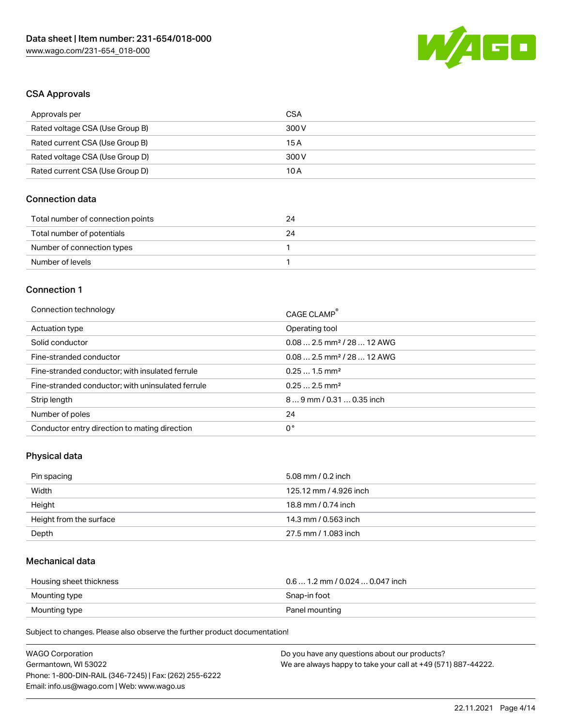

### CSA Approvals

| Approvals per                   | CSA   |
|---------------------------------|-------|
| Rated voltage CSA (Use Group B) | 300 V |
| Rated current CSA (Use Group B) | 15A   |
| Rated voltage CSA (Use Group D) | 300 V |
| Rated current CSA (Use Group D) | 10 A  |

### Connection data

| Total number of connection points | 24 |
|-----------------------------------|----|
| Total number of potentials        | 24 |
| Number of connection types        |    |
| Number of levels                  |    |

#### Connection 1

| Connection technology                             | CAGE CLAMP <sup>®</sup>                |
|---------------------------------------------------|----------------------------------------|
| Actuation type                                    | Operating tool                         |
| Solid conductor                                   | $0.082.5$ mm <sup>2</sup> / 28  12 AWG |
| Fine-stranded conductor                           | $0.082.5$ mm <sup>2</sup> / 28  12 AWG |
| Fine-stranded conductor; with insulated ferrule   | $0.251.5$ mm <sup>2</sup>              |
| Fine-stranded conductor; with uninsulated ferrule | $0.252.5$ mm <sup>2</sup>              |
| Strip length                                      | $89$ mm / 0.31  0.35 inch              |
| Number of poles                                   | 24                                     |
| Conductor entry direction to mating direction     | 0°                                     |

### Physical data

| Pin spacing             | 5.08 mm / 0.2 inch     |
|-------------------------|------------------------|
| Width                   | 125.12 mm / 4.926 inch |
| Height                  | 18.8 mm / 0.74 inch    |
| Height from the surface | 14.3 mm / 0.563 inch   |
| Depth                   | 27.5 mm / 1.083 inch   |

### Mechanical data

| Housing sheet thickness | $0.6$ 1.2 mm / 0.024 $$ 0.047 inch |
|-------------------------|------------------------------------|
| Mounting type           | Snap-in foot                       |
| Mounting type           | Panel mounting                     |

| <b>WAGO Corporation</b>                                | Do you have any questions about our products?                 |
|--------------------------------------------------------|---------------------------------------------------------------|
| Germantown, WI 53022                                   | We are always happy to take your call at +49 (571) 887-44222. |
| Phone: 1-800-DIN-RAIL (346-7245)   Fax: (262) 255-6222 |                                                               |
| Email: info.us@wago.com   Web: www.wago.us             |                                                               |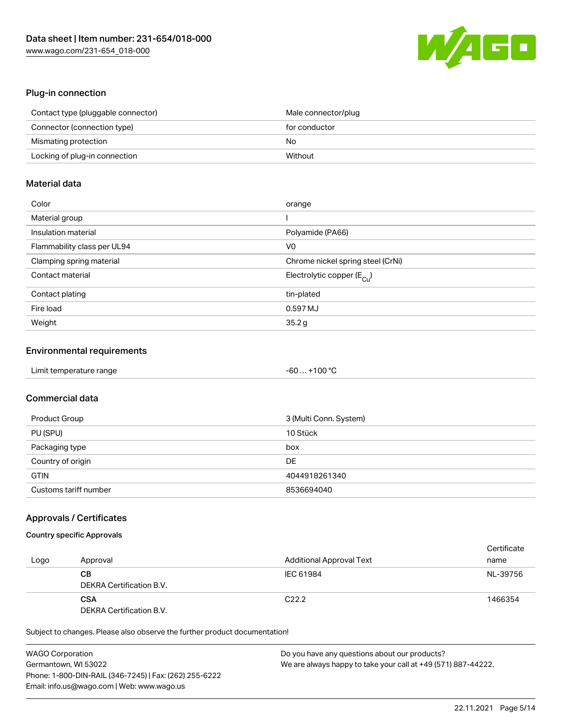

### Plug-in connection

| Contact type (pluggable connector) | Male connector/plug |
|------------------------------------|---------------------|
| Connector (connection type)        | for conductor       |
| Mismating protection               | No                  |
| Locking of plug-in connection      | Without             |

### Material data

| Color                       | orange                                  |
|-----------------------------|-----------------------------------------|
| Material group              |                                         |
| Insulation material         | Polyamide (PA66)                        |
| Flammability class per UL94 | V0                                      |
| Clamping spring material    | Chrome nickel spring steel (CrNi)       |
| Contact material            | Electrolytic copper ( $E_{\text{Cu}}$ ) |
| Contact plating             | tin-plated                              |
| Fire load                   | 0.597 MJ                                |
| Weight                      | 35.2g                                   |

### Environmental requirements

| Limit temperature range | $-60+100 °C$ |  |
|-------------------------|--------------|--|
|-------------------------|--------------|--|

# Commercial data

| Product Group         | 3 (Multi Conn. System) |
|-----------------------|------------------------|
| PU (SPU)              | 10 Stück               |
| Packaging type        | box                    |
| Country of origin     | DE                     |
| <b>GTIN</b>           | 4044918261340          |
| Customs tariff number | 8536694040             |

### Approvals / Certificates

### Country specific Approvals

| Logo | Approval                               | <b>Additional Approval Text</b> | Certificate<br>name |
|------|----------------------------------------|---------------------------------|---------------------|
|      | CВ<br>DEKRA Certification B.V.         | IEC 61984                       | NL-39756            |
|      | <b>CSA</b><br>DEKRA Certification B.V. | C <sub>22.2</sub>               | 1466354             |

| <b>WAGO Corporation</b>                                | Do you have any questions about our products?                 |
|--------------------------------------------------------|---------------------------------------------------------------|
| Germantown, WI 53022                                   | We are always happy to take your call at +49 (571) 887-44222. |
| Phone: 1-800-DIN-RAIL (346-7245)   Fax: (262) 255-6222 |                                                               |
| Email: info.us@wago.com   Web: www.wago.us             |                                                               |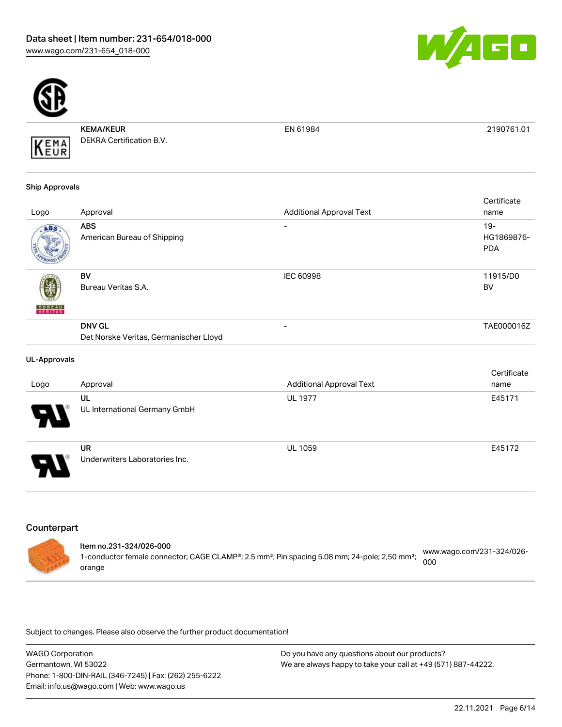



KEMA/KEUR DEKRA Certification B.V. KEMA

EN 61984 2190761.01

#### Ship Approvals

|               |                                           |                                 | Certificate          |
|---------------|-------------------------------------------|---------------------------------|----------------------|
| Logo          | Approval                                  | <b>Additional Approval Text</b> | name                 |
| ABS.          | <b>ABS</b><br>American Bureau of Shipping | -                               | $19 -$<br>HG1869876- |
|               |                                           |                                 | <b>PDA</b>           |
|               | BV                                        | <b>IEC 60998</b>                | 11915/D0             |
| <b>BUREAU</b> | Bureau Veritas S.A.                       |                                 | <b>BV</b>            |
|               | <b>DNV GL</b>                             | -                               | TAE000016Z           |
|               | Det Norske Veritas, Germanischer Lloyd    |                                 |                      |

### UL-Approvals

|                            |                                             |                                 | Certificate |
|----------------------------|---------------------------------------------|---------------------------------|-------------|
| Logo                       | Approval                                    | <b>Additional Approval Text</b> | name        |
| $\boldsymbol{\theta}$      | UL<br>UL International Germany GmbH         | <b>UL 1977</b>                  | E45171      |
| $\boldsymbol{\mathcal{A}}$ | <b>UR</b><br>Underwriters Laboratories Inc. | <b>UL 1059</b>                  | E45172      |

# **Counterpart**

| ltem no.231-324/026-000                                                                                               |                                               |
|-----------------------------------------------------------------------------------------------------------------------|-----------------------------------------------|
| 1-conductor female connector; CAGE CLAMP®; 2.5 mm <sup>2</sup> ; Pin spacing 5.08 mm; 24-pole; 2,50 mm <sup>2</sup> ; | www.wago.com/231-324/026-<br>200 <sub>o</sub> |
| orange                                                                                                                |                                               |

| <b>WAGO Corporation</b>                                | Do you have any questions about our products?                 |
|--------------------------------------------------------|---------------------------------------------------------------|
| Germantown, WI 53022                                   | We are always happy to take your call at +49 (571) 887-44222. |
| Phone: 1-800-DIN-RAIL (346-7245)   Fax: (262) 255-6222 |                                                               |
| Email: info.us@wago.com   Web: www.wago.us             |                                                               |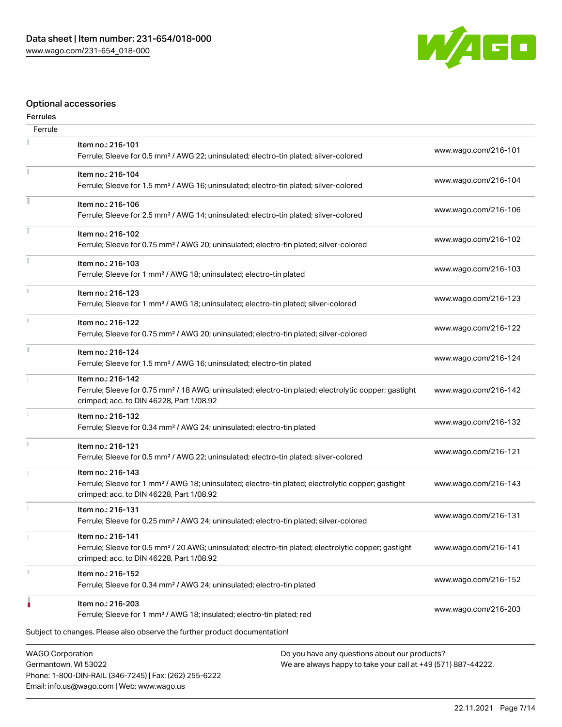Phone: 1-800-DIN-RAIL (346-7245) | Fax: (262) 255-6222

Email: info.us@wago.com | Web: www.wago.us



# Optional accessories

#### Ferrules

| Ferrule                                         |                                                                                                                                                                                    |                                                                                                                |                      |
|-------------------------------------------------|------------------------------------------------------------------------------------------------------------------------------------------------------------------------------------|----------------------------------------------------------------------------------------------------------------|----------------------|
|                                                 | Item no.: 216-101<br>Ferrule; Sleeve for 0.5 mm <sup>2</sup> / AWG 22; uninsulated; electro-tin plated; silver-colored                                                             |                                                                                                                | www.wago.com/216-101 |
| ī.                                              | Item no.: 216-104<br>Ferrule; Sleeve for 1.5 mm <sup>2</sup> / AWG 16; uninsulated; electro-tin plated; silver-colored                                                             |                                                                                                                | www.wago.com/216-104 |
|                                                 | Item no.: 216-106<br>Ferrule; Sleeve for 2.5 mm <sup>2</sup> / AWG 14; uninsulated; electro-tin plated; silver-colored                                                             |                                                                                                                | www.wago.com/216-106 |
|                                                 | Item no.: 216-102<br>Ferrule; Sleeve for 0.75 mm <sup>2</sup> / AWG 20; uninsulated; electro-tin plated; silver-colored                                                            |                                                                                                                | www.wago.com/216-102 |
|                                                 | Item no.: 216-103<br>Ferrule; Sleeve for 1 mm <sup>2</sup> / AWG 18; uninsulated; electro-tin plated                                                                               |                                                                                                                | www.wago.com/216-103 |
|                                                 | Item no.: 216-123<br>Ferrule; Sleeve for 1 mm <sup>2</sup> / AWG 18; uninsulated; electro-tin plated; silver-colored                                                               |                                                                                                                | www.wago.com/216-123 |
| $\mathbf{1}$                                    | Item no.: 216-122<br>Ferrule; Sleeve for 0.75 mm <sup>2</sup> / AWG 20; uninsulated; electro-tin plated; silver-colored                                                            |                                                                                                                | www.wago.com/216-122 |
|                                                 | Item no.: 216-124<br>Ferrule; Sleeve for 1.5 mm <sup>2</sup> / AWG 16; uninsulated; electro-tin plated                                                                             |                                                                                                                | www.wago.com/216-124 |
|                                                 | Item no.: 216-142<br>Ferrule; Sleeve for 0.75 mm <sup>2</sup> / 18 AWG; uninsulated; electro-tin plated; electrolytic copper; gastight<br>crimped; acc. to DIN 46228, Part 1/08.92 |                                                                                                                | www.wago.com/216-142 |
|                                                 | Item no.: 216-132<br>Ferrule; Sleeve for 0.34 mm <sup>2</sup> / AWG 24; uninsulated; electro-tin plated                                                                            |                                                                                                                | www.wago.com/216-132 |
|                                                 | Item no.: 216-121<br>Ferrule; Sleeve for 0.5 mm <sup>2</sup> / AWG 22; uninsulated; electro-tin plated; silver-colored                                                             |                                                                                                                | www.wago.com/216-121 |
|                                                 | Item no.: 216-143<br>Ferrule; Sleeve for 1 mm <sup>2</sup> / AWG 18; uninsulated; electro-tin plated; electrolytic copper; gastight<br>crimped; acc. to DIN 46228, Part 1/08.92    |                                                                                                                | www.wago.com/216-143 |
|                                                 | Item no.: 216-131<br>Ferrule; Sleeve for 0.25 mm <sup>2</sup> / AWG 24; uninsulated; electro-tin plated; silver-colored                                                            |                                                                                                                | www.wago.com/216-131 |
|                                                 | Item no.: 216-141<br>Ferrule; Sleeve for 0.5 mm <sup>2</sup> / 20 AWG; uninsulated; electro-tin plated; electrolytic copper; gastight<br>crimped; acc. to DIN 46228, Part 1/08.92  |                                                                                                                | www.wago.com/216-141 |
|                                                 | Item no.: 216-152<br>Ferrule; Sleeve for 0.34 mm <sup>2</sup> / AWG 24; uninsulated; electro-tin plated                                                                            |                                                                                                                | www.wago.com/216-152 |
|                                                 | Item no.: 216-203<br>Ferrule; Sleeve for 1 mm <sup>2</sup> / AWG 18; insulated; electro-tin plated; red                                                                            |                                                                                                                | www.wago.com/216-203 |
|                                                 | Subject to changes. Please also observe the further product documentation!                                                                                                         |                                                                                                                |                      |
| <b>WAGO Corporation</b><br>Germantown, WI 53022 |                                                                                                                                                                                    | Do you have any questions about our products?<br>We are always happy to take your call at +49 (571) 887-44222. |                      |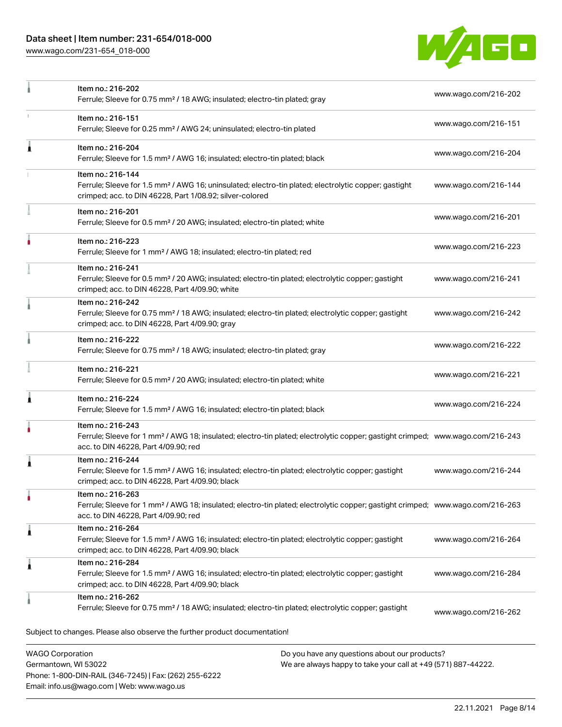# Data sheet | Item number: 231-654/018-000

Phone: 1-800-DIN-RAIL (346-7245) | Fax: (262) 255-6222

Email: info.us@wago.com | Web: www.wago.us

[www.wago.com/231-654\\_018-000](http://www.wago.com/231-654_018-000)



|                                                 | Item no.: 216-202<br>Ferrule; Sleeve for 0.75 mm <sup>2</sup> / 18 AWG; insulated; electro-tin plated; gray                                                                                             |                                                                                                                | www.wago.com/216-202 |
|-------------------------------------------------|---------------------------------------------------------------------------------------------------------------------------------------------------------------------------------------------------------|----------------------------------------------------------------------------------------------------------------|----------------------|
|                                                 | Item no.: 216-151<br>Ferrule; Sleeve for 0.25 mm <sup>2</sup> / AWG 24; uninsulated; electro-tin plated                                                                                                 |                                                                                                                | www.wago.com/216-151 |
| ۸                                               | Item no.: 216-204<br>Ferrule; Sleeve for 1.5 mm <sup>2</sup> / AWG 16; insulated; electro-tin plated; black                                                                                             |                                                                                                                | www.wago.com/216-204 |
|                                                 | Item no.: 216-144<br>Ferrule; Sleeve for 1.5 mm <sup>2</sup> / AWG 16; uninsulated; electro-tin plated; electrolytic copper; gastight<br>crimped; acc. to DIN 46228, Part 1/08.92; silver-colored       |                                                                                                                | www.wago.com/216-144 |
|                                                 | Item no.: 216-201<br>Ferrule; Sleeve for 0.5 mm <sup>2</sup> / 20 AWG; insulated; electro-tin plated; white                                                                                             |                                                                                                                | www.wago.com/216-201 |
|                                                 | Item no.: 216-223<br>Ferrule; Sleeve for 1 mm <sup>2</sup> / AWG 18; insulated; electro-tin plated; red                                                                                                 |                                                                                                                | www.wago.com/216-223 |
|                                                 | Item no.: 216-241<br>Ferrule; Sleeve for 0.5 mm <sup>2</sup> / 20 AWG; insulated; electro-tin plated; electrolytic copper; gastight<br>crimped; acc. to DIN 46228, Part 4/09.90; white                  |                                                                                                                | www.wago.com/216-241 |
| a                                               | Item no.: 216-242<br>Ferrule; Sleeve for 0.75 mm <sup>2</sup> / 18 AWG; insulated; electro-tin plated; electrolytic copper; gastight<br>crimped; acc. to DIN 46228, Part 4/09.90; gray                  |                                                                                                                | www.wago.com/216-242 |
|                                                 | Item no.: 216-222<br>Ferrule; Sleeve for 0.75 mm <sup>2</sup> / 18 AWG; insulated; electro-tin plated; gray                                                                                             |                                                                                                                | www.wago.com/216-222 |
|                                                 | Item no.: 216-221<br>Ferrule; Sleeve for 0.5 mm <sup>2</sup> / 20 AWG; insulated; electro-tin plated; white                                                                                             |                                                                                                                | www.wago.com/216-221 |
| 1                                               | Item no.: 216-224<br>Ferrule; Sleeve for 1.5 mm <sup>2</sup> / AWG 16; insulated; electro-tin plated; black                                                                                             |                                                                                                                | www.wago.com/216-224 |
|                                                 | Item no.: 216-243<br>Ferrule; Sleeve for 1 mm <sup>2</sup> / AWG 18; insulated; electro-tin plated; electrolytic copper; gastight crimped; www.wago.com/216-243<br>acc. to DIN 46228, Part 4/09.90; red |                                                                                                                |                      |
| ı                                               | Item no.: 216-244<br>Ferrule; Sleeve for 1.5 mm <sup>2</sup> / AWG 16; insulated; electro-tin plated; electrolytic copper; gastight<br>crimped; acc. to DIN 46228, Part 4/09.90; black                  |                                                                                                                | www.wago.com/216-244 |
| ٠                                               | Item no.: 216-263<br>Ferrule; Sleeve for 1 mm <sup>2</sup> / AWG 18; insulated; electro-tin plated; electrolytic copper; gastight crimped; www.wago.com/216-263<br>acc. to DIN 46228, Part 4/09.90; red |                                                                                                                |                      |
| 1                                               | Item no.: 216-264<br>Ferrule; Sleeve for 1.5 mm <sup>2</sup> / AWG 16; insulated; electro-tin plated; electrolytic copper; gastight<br>crimped; acc. to DIN 46228, Part 4/09.90; black                  |                                                                                                                | www.wago.com/216-264 |
| 1                                               | Item no.: 216-284<br>Ferrule; Sleeve for 1.5 mm <sup>2</sup> / AWG 16; insulated; electro-tin plated; electrolytic copper; gastight<br>crimped; acc. to DIN 46228, Part 4/09.90; black                  |                                                                                                                | www.wago.com/216-284 |
|                                                 | Item no.: 216-262<br>Ferrule; Sleeve for 0.75 mm <sup>2</sup> / 18 AWG; insulated; electro-tin plated; electrolytic copper; gastight                                                                    |                                                                                                                | www.wago.com/216-262 |
|                                                 | Subject to changes. Please also observe the further product documentation!                                                                                                                              |                                                                                                                |                      |
| <b>WAGO Corporation</b><br>Germantown, WI 53022 |                                                                                                                                                                                                         | Do you have any questions about our products?<br>We are always happy to take your call at +49 (571) 887-44222. |                      |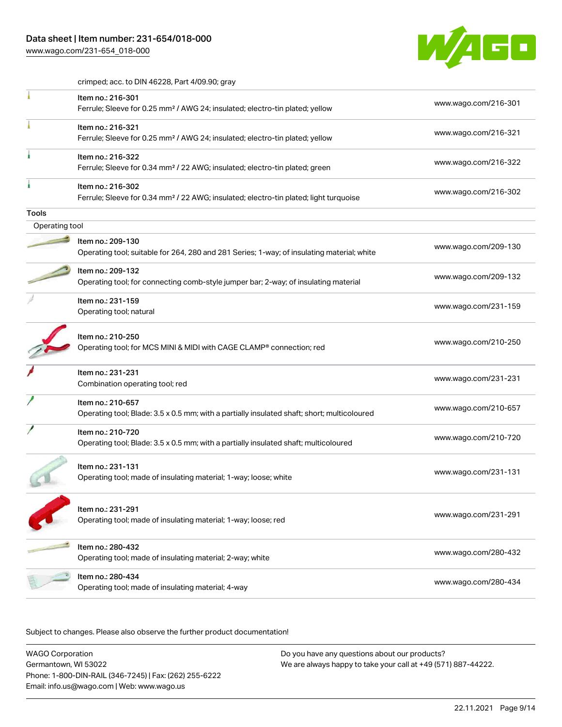[www.wago.com/231-654\\_018-000](http://www.wago.com/231-654_018-000)



crimped; acc. to DIN 46228, Part 4/09.90; gray

|                | Item no.: 216-301<br>Ferrule; Sleeve for 0.25 mm <sup>2</sup> / AWG 24; insulated; electro-tin plated; yellow          | www.wago.com/216-301 |
|----------------|------------------------------------------------------------------------------------------------------------------------|----------------------|
|                | Item no.: 216-321<br>Ferrule; Sleeve for 0.25 mm <sup>2</sup> / AWG 24; insulated; electro-tin plated; yellow          | www.wago.com/216-321 |
|                | Item no.: 216-322<br>Ferrule; Sleeve for 0.34 mm <sup>2</sup> / 22 AWG; insulated; electro-tin plated; green           | www.wago.com/216-322 |
|                | Item no.: 216-302<br>Ferrule; Sleeve for 0.34 mm <sup>2</sup> / 22 AWG; insulated; electro-tin plated; light turquoise | www.wago.com/216-302 |
| <b>Tools</b>   |                                                                                                                        |                      |
| Operating tool |                                                                                                                        |                      |
|                | Item no.: 209-130<br>Operating tool; suitable for 264, 280 and 281 Series; 1-way; of insulating material; white        | www.wago.com/209-130 |
|                | Item no.: 209-132<br>Operating tool; for connecting comb-style jumper bar; 2-way; of insulating material               | www.wago.com/209-132 |
|                | Item no.: 231-159<br>Operating tool; natural                                                                           | www.wago.com/231-159 |
|                | Item no.: 210-250<br>Operating tool; for MCS MINI & MIDI with CAGE CLAMP® connection; red                              | www.wago.com/210-250 |
|                | Item no.: 231-231<br>Combination operating tool; red                                                                   | www.wago.com/231-231 |
|                | Item no.: 210-657<br>Operating tool; Blade: 3.5 x 0.5 mm; with a partially insulated shaft; short; multicoloured       | www.wago.com/210-657 |
|                | Item no.: 210-720<br>Operating tool; Blade: 3.5 x 0.5 mm; with a partially insulated shaft; multicoloured              | www.wago.com/210-720 |
|                | Item no.: 231-131<br>Operating tool; made of insulating material; 1-way; loose; white                                  | www.wago.com/231-131 |
|                | Item no.: 231-291<br>Operating tool; made of insulating material; 1-way; loose; red                                    | www.wago.com/231-291 |
|                | Item no.: 280-432<br>Operating tool; made of insulating material; 2-way; white                                         | www.wago.com/280-432 |
|                | ltem no.: 280-434<br>Operating tool; made of insulating material; 4-way                                                | www.wago.com/280-434 |
|                |                                                                                                                        |                      |

Subject to changes. Please also observe the further product documentation!

WAGO Corporation Germantown, WI 53022 Phone: 1-800-DIN-RAIL (346-7245) | Fax: (262) 255-6222 Email: info.us@wago.com | Web: www.wago.us Do you have any questions about our products? We are always happy to take your call at +49 (571) 887-44222.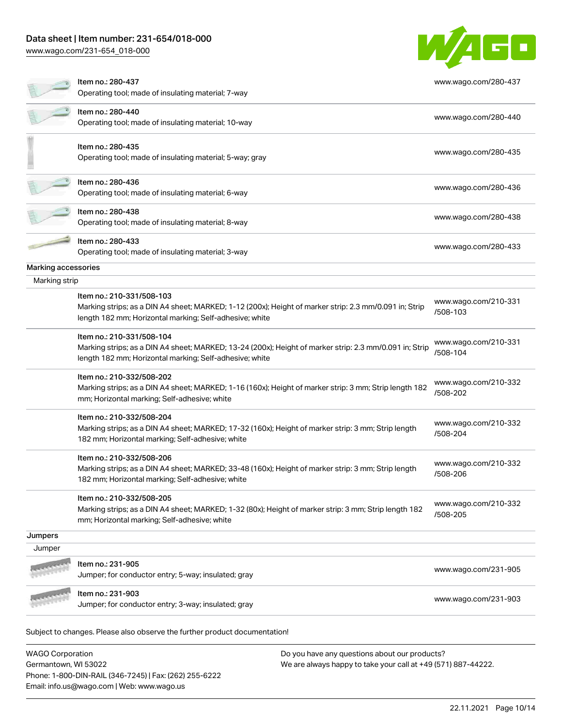### Data sheet | Item number: 231-654/018-000

[www.wago.com/231-654\\_018-000](http://www.wago.com/231-654_018-000)

|                     | ww.wago.commzonoo+ ono ooc                                                                                                                              |                      |
|---------------------|---------------------------------------------------------------------------------------------------------------------------------------------------------|----------------------|
|                     |                                                                                                                                                         |                      |
|                     | ltem no.: 280-437                                                                                                                                       | www.wago.com/280-437 |
|                     | Operating tool; made of insulating material; 7-way                                                                                                      |                      |
|                     | Item no.: 280-440                                                                                                                                       | www.wago.com/280-440 |
|                     | Operating tool; made of insulating material; 10-way                                                                                                     |                      |
|                     | Item no.: 280-435                                                                                                                                       |                      |
|                     | Operating tool; made of insulating material; 5-way; gray                                                                                                | www.wago.com/280-435 |
|                     |                                                                                                                                                         |                      |
|                     | ltem no.: 280-436<br>Operating tool; made of insulating material; 6-way                                                                                 | www.wago.com/280-436 |
|                     | Item no.: 280-438                                                                                                                                       |                      |
|                     | Operating tool; made of insulating material; 8-way                                                                                                      | www.wago.com/280-438 |
|                     | Item no.: 280-433                                                                                                                                       |                      |
|                     | Operating tool; made of insulating material; 3-way                                                                                                      | www.wago.com/280-433 |
| Marking accessories |                                                                                                                                                         |                      |
| Marking strip       |                                                                                                                                                         |                      |
|                     | Item no.: 210-331/508-103                                                                                                                               |                      |
|                     | Marking strips; as a DIN A4 sheet; MARKED; 1-12 (200x); Height of marker strip: 2.3 mm/0.091 in; Strip                                                  | www.wago.com/210-331 |
|                     | length 182 mm; Horizontal marking; Self-adhesive; white                                                                                                 | /508-103             |
|                     | Item no.: 210-331/508-104                                                                                                                               | www.wago.com/210-331 |
|                     | Marking strips; as a DIN A4 sheet; MARKED; 13-24 (200x); Height of marker strip: 2.3 mm/0.091 in; Strip                                                 | /508-104             |
|                     | length 182 mm; Horizontal marking; Self-adhesive; white                                                                                                 |                      |
|                     | Item no.: 210-332/508-202                                                                                                                               | www.wago.com/210-332 |
|                     | Marking strips; as a DIN A4 sheet; MARKED; 1-16 (160x); Height of marker strip: 3 mm; Strip length 182<br>mm; Horizontal marking; Self-adhesive; white  | /508-202             |
|                     | Item no.: 210-332/508-204                                                                                                                               | www.wago.com/210-332 |
|                     | Marking strips; as a DIN A4 sheet; MARKED; 17-32 (160x); Height of marker strip: 3 mm; Strip length                                                     | /508-204             |
|                     | 182 mm; Horizontal marking; Self-adhesive; white                                                                                                        |                      |
|                     | Item no.: 210-332/508-206                                                                                                                               | www.wago.com/210-332 |
|                     | Marking strips; as a DIN A4 sheet; MARKED; 33-48 (160x); Height of marker strip: 3 mm; Strip length<br>182 mm; Horizontal marking; Self-adhesive; white | /508-206             |
|                     |                                                                                                                                                         |                      |
|                     | Item no.: 210-332/508-205                                                                                                                               | www.wago.com/210-332 |
|                     | Marking strips; as a DIN A4 sheet; MARKED; 1-32 (80x); Height of marker strip: 3 mm; Strip length 182<br>mm; Horizontal marking; Self-adhesive; white   | /508-205             |
|                     |                                                                                                                                                         |                      |
| Jumpers<br>Jumper   |                                                                                                                                                         |                      |
|                     |                                                                                                                                                         |                      |
|                     | Item no.: 231-905<br>Jumper; for conductor entry; 5-way; insulated; gray                                                                                | www.wago.com/231-905 |
|                     |                                                                                                                                                         |                      |
|                     | Item no.: 231-903<br>Jumper; for conductor entry; 3-way; insulated; gray                                                                                | www.wago.com/231-903 |
|                     |                                                                                                                                                         |                      |
|                     | Subject to changes. Please also observe the further product documentation!                                                                              |                      |
|                     |                                                                                                                                                         |                      |

WAGO Corporation Germantown, WI 53022 Phone: 1-800-DIN-RAIL (346-7245) | Fax: (262) 255-6222 Email: info.us@wago.com | Web: www.wago.us

Do you have any questions about our products? We are always happy to take your call at +49 (571) 887-44222.

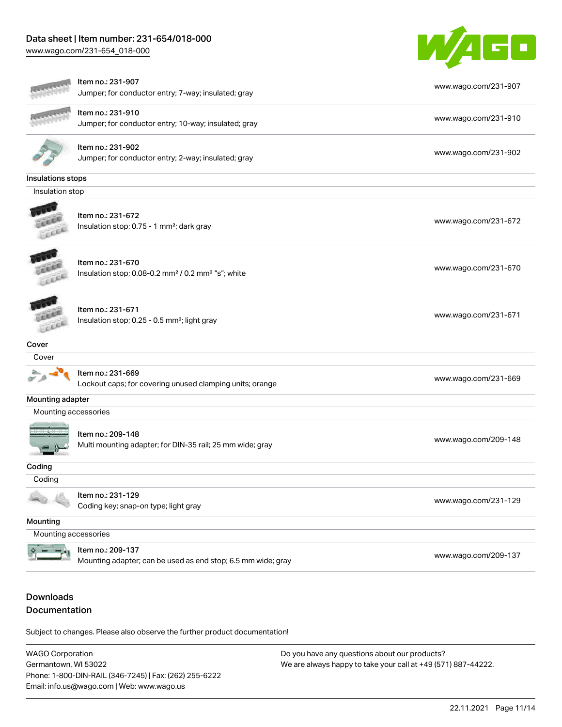### Data sheet | Item number: 231-654/018-000

[www.wago.com/231-654\\_018-000](http://www.wago.com/231-654_018-000)



| ltem no.: 231-907<br>www.wago.com/231-907<br>Jumper; for conductor entry; 7-way; insulated; gray<br>Item no.: 231-910<br>www.wago.com/231-910<br>Jumper; for conductor entry; 10-way; insulated; gray<br>Item no.: 231-902<br>www.wago.com/231-902<br>Jumper; for conductor entry; 2-way; insulated; gray<br>Insulations stops<br>Insulation stop<br>Item no.: 231-672<br>www.wago.com/231-672<br>Insulation stop; 0.75 - 1 mm <sup>2</sup> ; dark gray<br>Item no.: 231-670<br>www.wago.com/231-670<br>Insulation stop; 0.08-0.2 mm <sup>2</sup> / 0.2 mm <sup>2</sup> "s"; white<br>Item no.: 231-671<br>www.wago.com/231-671<br>Insulation stop; 0.25 - 0.5 mm <sup>2</sup> ; light gray<br>Cover<br>Cover<br>Item no.: 231-669<br>www.wago.com/231-669<br>Lockout caps; for covering unused clamping units; orange<br>Mounting adapter<br>Mounting accessories<br>Item no.: 209-148<br>www.wago.com/209-148<br>Multi mounting adapter; for DIN-35 rail; 25 mm wide; gray<br>Coding<br>Coding<br>Item no.: 231-129<br>www.wago.com/231-129<br>Coding key; snap-on type; light gray<br>Mounting<br>Mounting accessories<br>Item no.: 209-137<br>www.wago.com/209-137<br>Mounting adapter; can be used as end stop; 6.5 mm wide; gray |  |  |
|----------------------------------------------------------------------------------------------------------------------------------------------------------------------------------------------------------------------------------------------------------------------------------------------------------------------------------------------------------------------------------------------------------------------------------------------------------------------------------------------------------------------------------------------------------------------------------------------------------------------------------------------------------------------------------------------------------------------------------------------------------------------------------------------------------------------------------------------------------------------------------------------------------------------------------------------------------------------------------------------------------------------------------------------------------------------------------------------------------------------------------------------------------------------------------------------------------------------------------------|--|--|
|                                                                                                                                                                                                                                                                                                                                                                                                                                                                                                                                                                                                                                                                                                                                                                                                                                                                                                                                                                                                                                                                                                                                                                                                                                        |  |  |
|                                                                                                                                                                                                                                                                                                                                                                                                                                                                                                                                                                                                                                                                                                                                                                                                                                                                                                                                                                                                                                                                                                                                                                                                                                        |  |  |
|                                                                                                                                                                                                                                                                                                                                                                                                                                                                                                                                                                                                                                                                                                                                                                                                                                                                                                                                                                                                                                                                                                                                                                                                                                        |  |  |
|                                                                                                                                                                                                                                                                                                                                                                                                                                                                                                                                                                                                                                                                                                                                                                                                                                                                                                                                                                                                                                                                                                                                                                                                                                        |  |  |
|                                                                                                                                                                                                                                                                                                                                                                                                                                                                                                                                                                                                                                                                                                                                                                                                                                                                                                                                                                                                                                                                                                                                                                                                                                        |  |  |
|                                                                                                                                                                                                                                                                                                                                                                                                                                                                                                                                                                                                                                                                                                                                                                                                                                                                                                                                                                                                                                                                                                                                                                                                                                        |  |  |
|                                                                                                                                                                                                                                                                                                                                                                                                                                                                                                                                                                                                                                                                                                                                                                                                                                                                                                                                                                                                                                                                                                                                                                                                                                        |  |  |
|                                                                                                                                                                                                                                                                                                                                                                                                                                                                                                                                                                                                                                                                                                                                                                                                                                                                                                                                                                                                                                                                                                                                                                                                                                        |  |  |
|                                                                                                                                                                                                                                                                                                                                                                                                                                                                                                                                                                                                                                                                                                                                                                                                                                                                                                                                                                                                                                                                                                                                                                                                                                        |  |  |
|                                                                                                                                                                                                                                                                                                                                                                                                                                                                                                                                                                                                                                                                                                                                                                                                                                                                                                                                                                                                                                                                                                                                                                                                                                        |  |  |
|                                                                                                                                                                                                                                                                                                                                                                                                                                                                                                                                                                                                                                                                                                                                                                                                                                                                                                                                                                                                                                                                                                                                                                                                                                        |  |  |
|                                                                                                                                                                                                                                                                                                                                                                                                                                                                                                                                                                                                                                                                                                                                                                                                                                                                                                                                                                                                                                                                                                                                                                                                                                        |  |  |
|                                                                                                                                                                                                                                                                                                                                                                                                                                                                                                                                                                                                                                                                                                                                                                                                                                                                                                                                                                                                                                                                                                                                                                                                                                        |  |  |
|                                                                                                                                                                                                                                                                                                                                                                                                                                                                                                                                                                                                                                                                                                                                                                                                                                                                                                                                                                                                                                                                                                                                                                                                                                        |  |  |
|                                                                                                                                                                                                                                                                                                                                                                                                                                                                                                                                                                                                                                                                                                                                                                                                                                                                                                                                                                                                                                                                                                                                                                                                                                        |  |  |
|                                                                                                                                                                                                                                                                                                                                                                                                                                                                                                                                                                                                                                                                                                                                                                                                                                                                                                                                                                                                                                                                                                                                                                                                                                        |  |  |
|                                                                                                                                                                                                                                                                                                                                                                                                                                                                                                                                                                                                                                                                                                                                                                                                                                                                                                                                                                                                                                                                                                                                                                                                                                        |  |  |
|                                                                                                                                                                                                                                                                                                                                                                                                                                                                                                                                                                                                                                                                                                                                                                                                                                                                                                                                                                                                                                                                                                                                                                                                                                        |  |  |
|                                                                                                                                                                                                                                                                                                                                                                                                                                                                                                                                                                                                                                                                                                                                                                                                                                                                                                                                                                                                                                                                                                                                                                                                                                        |  |  |
|                                                                                                                                                                                                                                                                                                                                                                                                                                                                                                                                                                                                                                                                                                                                                                                                                                                                                                                                                                                                                                                                                                                                                                                                                                        |  |  |

# Downloads Documentation

Subject to changes. Please also observe the further product documentation!

WAGO Corporation Germantown, WI 53022 Phone: 1-800-DIN-RAIL (346-7245) | Fax: (262) 255-6222 Email: info.us@wago.com | Web: www.wago.us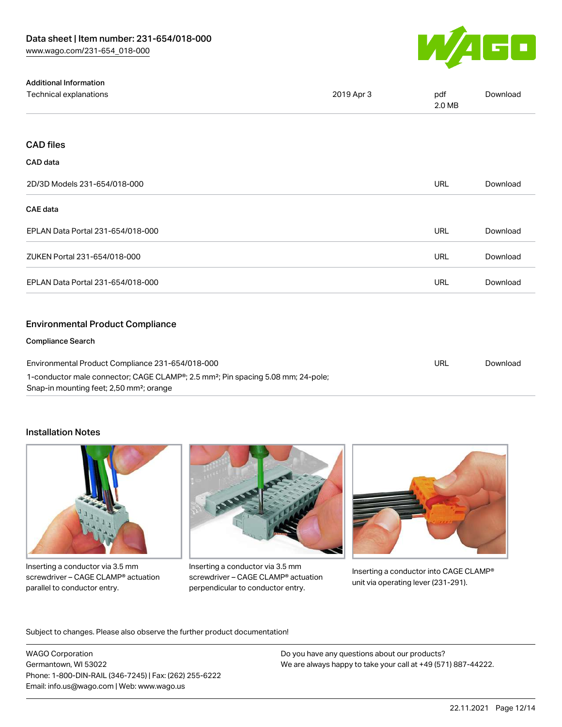

| <b>Additional Information</b>                                                                                                                        |            |               |          |
|------------------------------------------------------------------------------------------------------------------------------------------------------|------------|---------------|----------|
| Technical explanations                                                                                                                               | 2019 Apr 3 | pdf<br>2.0 MB | Download |
|                                                                                                                                                      |            |               |          |
| <b>CAD files</b>                                                                                                                                     |            |               |          |
| CAD data                                                                                                                                             |            |               |          |
| 2D/3D Models 231-654/018-000                                                                                                                         |            | URL           | Download |
| <b>CAE</b> data                                                                                                                                      |            |               |          |
| EPLAN Data Portal 231-654/018-000                                                                                                                    |            | <b>URL</b>    | Download |
| ZUKEN Portal 231-654/018-000                                                                                                                         |            | URL           | Download |
| EPLAN Data Portal 231-654/018-000                                                                                                                    |            | URL           | Download |
| <b>Environmental Product Compliance</b>                                                                                                              |            |               |          |
| <b>Compliance Search</b>                                                                                                                             |            |               |          |
| Environmental Product Compliance 231-654/018-000                                                                                                     |            | <b>URL</b>    | Download |
| 1-conductor male connector; CAGE CLAMP®; 2.5 mm <sup>2</sup> ; Pin spacing 5.08 mm; 24-pole;<br>Snap-in mounting feet; 2,50 mm <sup>2</sup> ; orange |            |               |          |

#### Installation Notes



Inserting a conductor via 3.5 mm screwdriver – CAGE CLAMP® actuation parallel to conductor entry.



Inserting a conductor via 3.5 mm screwdriver – CAGE CLAMP® actuation perpendicular to conductor entry.



Inserting a conductor into CAGE CLAMP® unit via operating lever (231-291).

Subject to changes. Please also observe the further product documentation!

WAGO Corporation Germantown, WI 53022 Phone: 1-800-DIN-RAIL (346-7245) | Fax: (262) 255-6222 Email: info.us@wago.com | Web: www.wago.us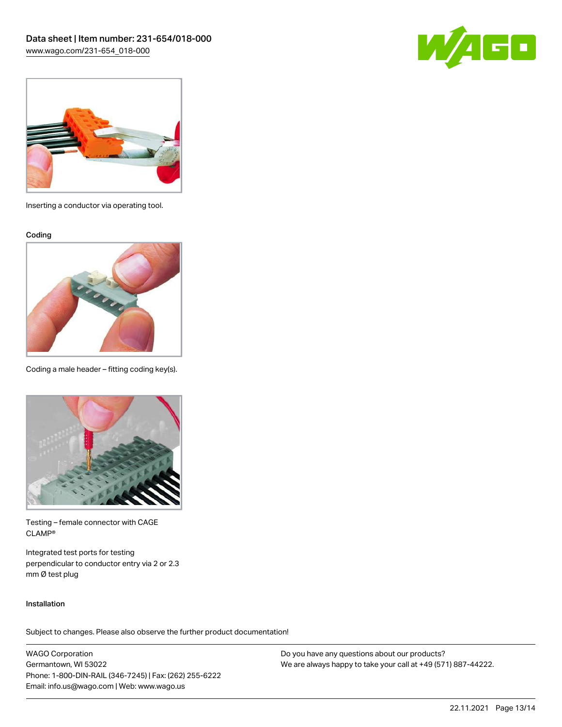



Inserting a conductor via operating tool.

Coding



Coding a male header – fitting coding key(s).



Testing – female connector with CAGE CLAMP®

Integrated test ports for testing perpendicular to conductor entry via 2 or 2.3 mm Ø test plug

#### Installation

Subject to changes. Please also observe the further product documentation!

WAGO Corporation Germantown, WI 53022 Phone: 1-800-DIN-RAIL (346-7245) | Fax: (262) 255-6222 Email: info.us@wago.com | Web: www.wago.us